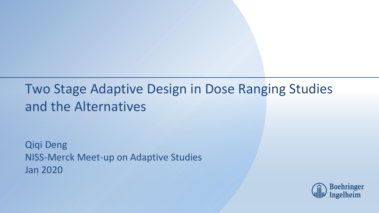#### Two Stage Adaptive Design in Dose Ranging Studies and the Alternatives

Qiqi Deng NISS-Merck Meet-up on Adaptive Studies Jan 2020

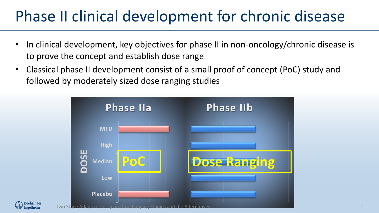### Phase II clinical development for chronic disease

- In clinical development, key objectives for phase II in non-oncology/chronic disease is to prove the concept and establish dose range
- Classical phase II development consist of a small proof of concept (PoC) study and followed by moderately sized dose ranging studies





2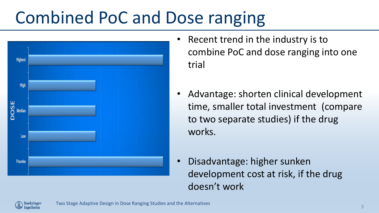# Combined PoC and Dose ranging



- Recent trend in the industry is to combine PoC and dose ranging into one trial
- Advantage: shorten clinical development time, smaller total investment (compare to two separate studies) if the drug works.
- Disadvantage: higher sunken development cost at risk, if the drug doesn't work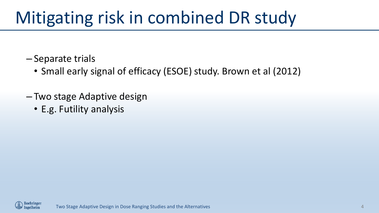# Mitigating risk in combined DR study

- Separate trials
	- Small early signal of efficacy (ESOE) study. Brown et al (2012)
- Two stage Adaptive design
	- E.g. Futility analysis

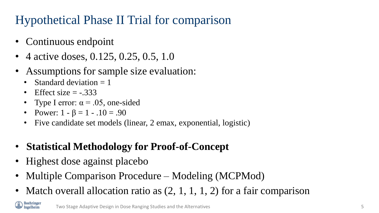#### Hypothetical Phase II Trial for comparison

- Continuous endpoint
- 4 active doses, 0.125, 0.25, 0.5, 1.0
- Assumptions for sample size evaluation:
	- Standard deviation  $= 1$
	- Effect size  $=$  -.333
	- Type I error:  $\alpha = .05$ , one-sided
	- Power:  $1 \beta = 1 .10 = .90$
	- Five candidate set models (linear, 2 emax, exponential, logistic)
- **Statistical Methodology for Proof-of-Concept**
- Highest dose against placebo
- Multiple Comparison Procedure Modeling (MCPMod)
- Match overall allocation ratio as  $(2, 1, 1, 1, 2)$  for a fair comparison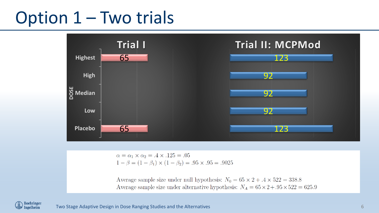### Option 1 – Two trials



 $\alpha = \alpha_1 \times \alpha_2 = .4 \times .125 = .05$  $1 - \beta = (1 - \beta_1) \times (1 - \beta_2) = .95 \times .95 = .9025$ 

Average sample size under null hypothesis:  $N_0 = 65 \times 2 + .4 \times 522 = 338.8$ Average sample size under alternative hypothesis:  $N_A = 65 \times 2 + .95 \times 522 = 625.9$ 

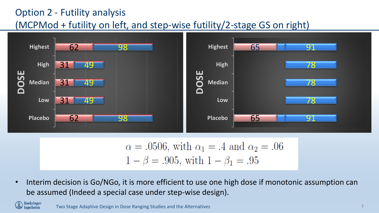#### Option 2 - Futility analysis (MCPMod + futility on left, and step-wise futility/2-stage GS on right)



$$
\alpha = .0506
$$
, with  $\alpha_1 = .4$  and  $\alpha_2 = .06$   
  $1 - \beta = .905$ , with  $1 - \beta_1 = .95$ 

• Interim decision is Go/NGo, it is more efficient to use one high dose if monotonic assumption can be assumed (Indeed a special case under step-wise design).

Two Stage Adaptive Design in Dose Ranging Studies and the Alternatives 7

Boehringer<br>Ingelheim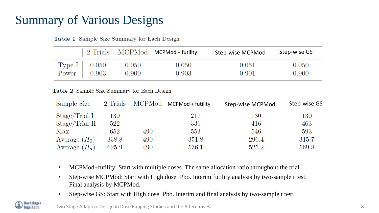#### Summary of Various Designs

|                |       | $\mid$ 2 Trials MCPMod MCPMod + futility | Step-wise MCPMod | Step-wise GS |
|----------------|-------|------------------------------------------|------------------|--------------|
| Type I $0.050$ | 0.050 | 0.050                                    | 0.051            | 0.050        |
| Power $0.903$  | 0.900 | 0.903                                    | 0.901            | 0.900        |

Table 1 Sample Size Summary for Each Design

Table 2 Sample Size Summary for Each Design

| Sample Size     |       |     | 2 Trials MCPMod MCPMod + futility | Step-wise MCPMod | Step-wise GS |
|-----------------|-------|-----|-----------------------------------|------------------|--------------|
| Stage/Trial I   | 130   |     | 217                               | $130\,$          | $130\,$      |
| Stage/Trial II  | 522   |     | 336                               | 416              | 463          |
| Max             | 652   | 490 | 553                               | 546              | 593          |
| Average $(H_0)$ | 338.8 | 490 | 351.8                             | 296.4            | 315.7        |
| Average $(H_a)$ | 625.9 | 490 | 536.1                             | 525.2            | 569.8        |

- MCPMod+futility: Start with multiple doses. The same allocation ratio throughout the trial.
- Step-wise MCPMod: Start with High dose+Pbo. Interim futility analysis by two-sample t test. Final analysis by MCPMod.
- Step-wise GS: Start with High dose+Pbo. Interim and final analysis by two-sample t test.

koehringer ıgelheim

Two Stage Adaptive Design in Dose Ranging Studies and the Alternatives 8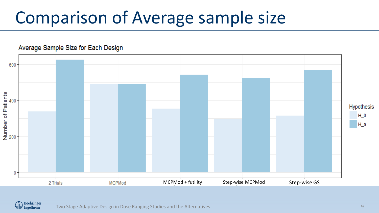# Comparison of Average sample size



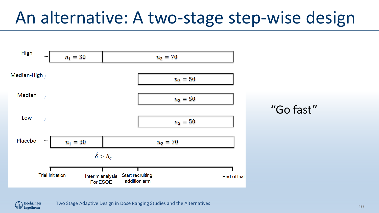## An alternative: A two-stage step-wise design



Boehringer<br>Ingelheim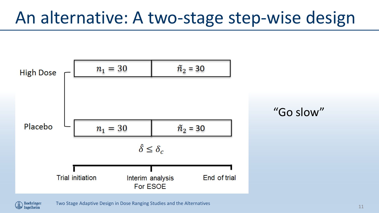## An alternative: A two-stage step-wise design



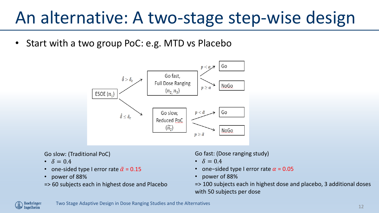## An alternative: A two-stage step-wise design

• Start with a two group PoC: e.g. MTD vs Placebo



Go slow: (Traditional PoC)

- $\delta = 0.4$
- one-sided type I error rate  $\tilde{\alpha}$  = 0.15
- power of 88%
- => 60 subjects each in highest dose and Placebo

Go fast: (Dose ranging study)

- $\cdot \quad \delta = 0.4$
- one-sided type I error rate  $\alpha$  = 0.05
- power of 88%

=> 100 subjects each in highest dose and placebo, 3 additional doses with 50 subjects per dose

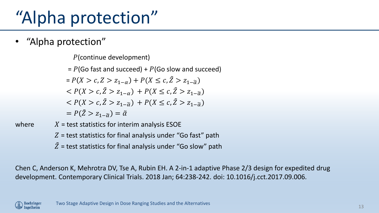# "Alpha protection"

• "Alpha protection"

P(continue development)

 $= P(G$ o fast and succeed) +  $P(G$ o slow and succeed)  $= P(X > c, Z > z_{1-\alpha}) + P(X \leq c, \tilde{Z} > z_{1-\tilde{\alpha}})$  $\langle P(X > c, \tilde{Z} > Z_{1-c}) + P(X \leq c, \tilde{Z} > Z_{1-c}) \rangle$  $\langle P(X > c, \tilde{Z} > z_{1-\tilde{\alpha}}) + P(X \leq c, \tilde{Z} > z_{1-\tilde{\alpha}}) \rangle$  $= P(\tilde{Z} > Z_1, z) = \tilde{\alpha}$ 

- where  $X =$  test statistics for interim analysis ESOE  $Z$  = test statistics for final analysis under "Go fast" path
	- $\tilde{Z}$  = test statistics for final analysis under "Go slow" path

Chen C, Anderson K, Mehrotra DV, Tse A, Rubin EH. A 2-in-1 adaptive Phase 2/3 design for expedited drug development. Contemporary Clinical Trials. 2018 Jan; 64:238-242. doi: 10.1016/j.cct.2017.09.006.

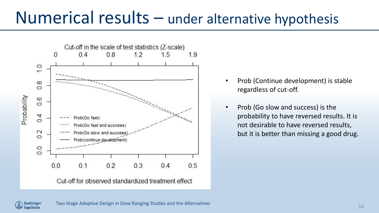#### Numerical results – under alternative hypothesis



- Prob (Continue development) is stable regardless of cut-off.
- Prob (Go slow and success) is the probability to have reversed results. It is not desirable to have reversed results, but it is better than missing a good drug.

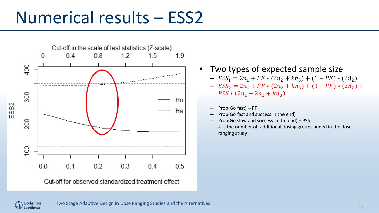### Numerical results – ESS2



Cut-off for observed standardized treatment effect

- Two types of expected sample size –  $ESS_1 = 2n_1 + PF * (2n_2 + kn_3) + (1 - PF) * (2n_2)$ –  $ESS_2 = 2n_1 + PF * (2n_2 + kn_3) + (1 - PF) * (2n_2) +$  $PSS * (2n_1 + 2n_2 + kn_3)$ 
	- Prob(Go fast) -- PF
	- Prob(Go fast and success in the end)
	- Prob(Go slow and success in the end) PSS
	- $k$  is the number of additional dosing groups added in the dose ranging study

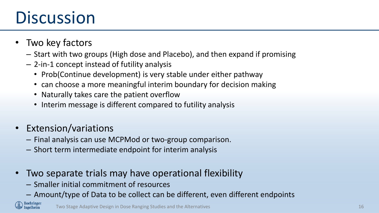## **Discussion**

- Two key factors
	- Start with two groups (High dose and Placebo), and then expand if promising
	- 2-in-1 concept instead of futility analysis
		- Prob(Continue development) is very stable under either pathway
		- can choose a more meaningful interim boundary for decision making
		- Naturally takes care the patient overflow
		- Interim message is different compared to futility analysis
- Extension/variations
	- Final analysis can use MCPMod or two-group comparison.
	- Short term intermediate endpoint for interim analysis
- Two separate trials may have operational flexibility
	- Smaller initial commitment of resources
	- Amount/type of Data to be collect can be different, even different endpoints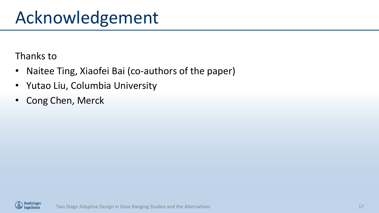## Acknowledgement

Thanks to

- Naitee Ting, Xiaofei Bai (co-authors of the paper)
- Yutao Liu, Columbia University
- Cong Chen, Merck

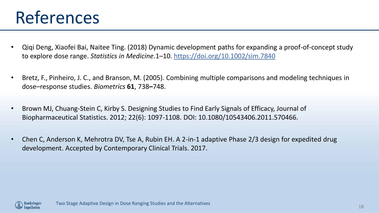## References

- Qiqi Deng, Xiaofei Bai, Naitee Ting. (2018) Dynamic development paths for expanding a proof-of-concept study to explore dose range. *Statistics in Medicine*.1–10.<https://doi.org/10.1002/sim.7840>
- Bretz, F., Pinheiro, J. C., and Branson, M. (2005). Combining multiple comparisons and modeling techniques in dose–response studies. *Biometrics* **61**, 738**–**748.
- Brown MJ, Chuang-Stein C, Kirby S. Designing Studies to Find Early Signals of Efficacy, Journal of Biopharmaceutical Statistics. 2012; 22(6): 1097-1108. DOI: 10.1080/10543406.2011.570466.
- Chen C, Anderson K, Mehrotra DV, Tse A, Rubin EH. A 2-in-1 adaptive Phase 2/3 design for expedited drug development. Accepted by Contemporary Clinical Trials. 2017.